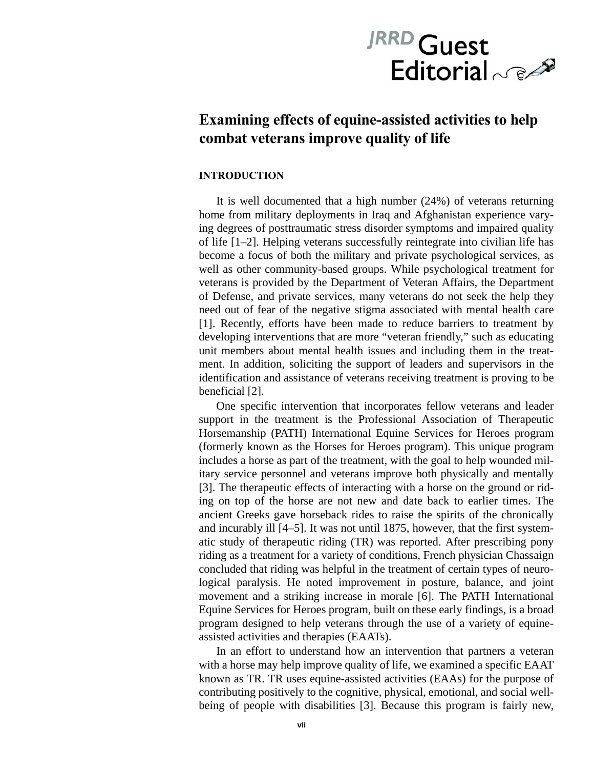# JRRD Guest Editorial  $\sim$

# **Examining effects of equine-assisted activities to help combat veterans improve quality of life**

## **INTRODUCTION**

It is well documented that a high number (24%) of veterans returning home from military deployments in Iraq and Afghanistan experience varying degrees of posttraumatic stress disorder symptoms and impaired quality of life [1–2]. Helping veterans successfully reintegrate into civilian life has become a focus of both the military and private psychological services, as well as other community-based groups. While psychological treatment for veterans is provided by the Department of Veteran Affairs, the Department of Defense, and private services, many veterans do not seek the help they need out of fear of the negative stigma associated with mental health care [1]. Recently, efforts have been made to reduce barriers to treatment by developing interventions that are more "veteran friendly," such as educating unit members about mental health issues and including them in the treatment. In addition, soliciting the support of leaders and supervisors in the identification and assistance of veterans receiving treatment is proving to be beneficial [2].

One specific intervention that incorporates fellow veterans and leader support in the treatment is the Professional Association of Therapeutic Horsemanship (PATH) International Equine Services for Heroes program (formerly known as the Horses for Heroes program). This unique program includes a horse as part of the treatment, with the goal to help wounded military service personnel and veterans improve both physically and mentally [3]. The therapeutic effects of interacting with a horse on the ground or riding on top of the horse are not new and date back to earlier times. The ancient Greeks gave horseback rides to raise the spirits of the chronically and incurably ill [4–5]. It was not until 1875, however, that the first systematic study of therapeutic riding (TR) was reported. After prescribing pony riding as a treatment for a variety of conditions, French physician Chassaign concluded that riding was helpful in the treatment of certain types of neurological paralysis. He noted improvement in posture, balance, and joint movement and a striking increase in morale [6]. The PATH International Equine Services for Heroes program, built on these early findings, is a broad program designed to help veterans through the use of a variety of equineassisted activities and therapies (EAATs).

In an effort to understand how an intervention that partners a veteran with a horse may help improve quality of life, we examined a specific EAAT known as TR. TR uses equine-assisted activities (EAAs) for the purpose of contributing positively to the cognitive, physical, emotional, and social wellbeing of people with disabilities [3]. Because this program is fairly new,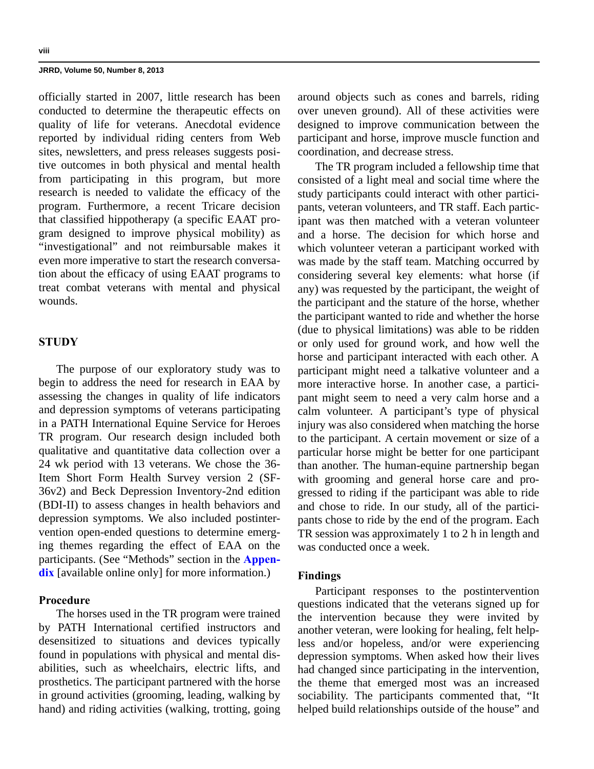#### **JRRD, Volume 50, Number 8, 2013**

officially started in 2007, little research has been conducted to determine the therapeutic effects on quality of life for veterans. Anecdotal evidence reported by individual riding centers from Web sites, newsletters, and press releases suggests positive outcomes in both physical and mental health from participating in this program, but more research is needed to validate the efficacy of the program. Furthermore, a recent Tricare decision that classified hippotherapy (a specific EAAT program designed to improve physical mobility) as "investigational" and not reimbursable makes it even more imperative to start the research conversation about the efficacy of using EAAT programs to treat combat veterans with mental and physical wounds.

## **STUDY**

The purpose of our exploratory study was to begin to address the need for research in EAA by assessing the changes in quality of life indicators and depression symptoms of veterans participating in a PATH International Equine Service for Heroes TR program. Our research design included both qualitative and quantitative data collection over a 24 wk period with 13 veterans. We chose the 36- Item Short Form Health Survey version 2 (SF-36v2) and Beck Depression Inventory-2nd edition (BDI-II) to assess changes in health behaviors and depression symptoms. We also included postintervention open-ended questions to determine emerging themes regarding the effect of EAA on the participants. (See "Methods" section in the **[Appen](http://www.rehab.research.va.gov/jour/2013/508/pdf/jrrd-2013-07-0159appn.pdf)[dix](http://www.rehab.research.va.gov/jour/2013/508/pdf/jrrd-2013-07-0159appn.pdf)** [available online only] for more information.)

## **Procedure**

The horses used in the TR program were trained by PATH International certified instructors and desensitized to situations and devices typically found in populations with physical and mental disabilities, such as wheelchairs, electric lifts, and prosthetics. The participant partnered with the horse in ground activities (grooming, leading, walking by hand) and riding activities (walking, trotting, going around objects such as cones and barrels, riding over uneven ground). All of these activities were designed to improve communication between the participant and horse, improve muscle function and coordination, and decrease stress.

The TR program included a fellowship time that consisted of a light meal and social time where the study participants could interact with other participants, veteran volunteers, and TR staff. Each participant was then matched with a veteran volunteer and a horse. The decision for which horse and which volunteer veteran a participant worked with was made by the staff team. Matching occurred by considering several key elements: what horse (if any) was requested by the participant, the weight of the participant and the stature of the horse, whether the participant wanted to ride and whether the horse (due to physical limitations) was able to be ridden or only used for ground work, and how well the horse and participant interacted with each other. A participant might need a talkative volunteer and a more interactive horse. In another case, a participant might seem to need a very calm horse and a calm volunteer. A participant's type of physical injury was also considered when matching the horse to the participant. A certain movement or size of a particular horse might be better for one participant than another. The human-equine partnership began with grooming and general horse care and progressed to riding if the participant was able to ride and chose to ride. In our study, all of the participants chose to ride by the end of the program. Each TR session was approximately 1 to 2 h in length and was conducted once a week.

## **Findings**

Participant responses to the postintervention questions indicated that the veterans signed up for the intervention because they were invited by another veteran, were looking for healing, felt helpless and/or hopeless, and/or were experiencing depression symptoms. When asked how their lives had changed since participating in the intervention, the theme that emerged most was an increased sociability. The participants commented that, "It helped build relationships outside of the house" and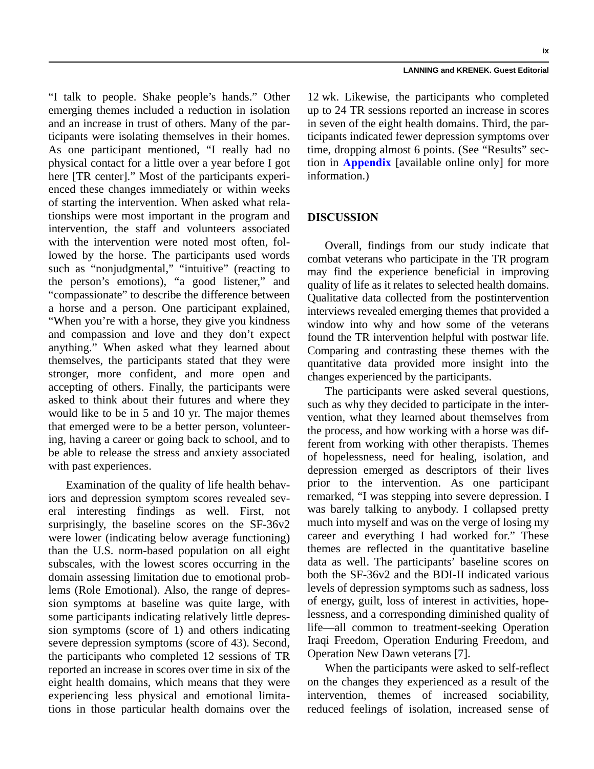"I talk to people. Shake people's hands." Other emerging themes included a reduction in isolation and an increase in trust of others. Many of the participants were isolating themselves in their homes. As one participant mentioned, "I really had no physical contact for a little over a year before I got here [TR center]." Most of the participants experienced these changes immediately or within weeks of starting the intervention. When asked what relationships were most important in the program and intervention, the staff and volunteers associated with the intervention were noted most often, followed by the horse. The participants used words such as "nonjudgmental," "intuitive" (reacting to the person's emotions), "a good listener," and "compassionate" to describe the difference between a horse and a person. One participant explained, "When you're with a horse, they give you kindness and compassion and love and they don't expect anything." When asked what they learned about themselves, the participants stated that they were stronger, more confident, and more open and accepting of others. Finally, the participants were asked to think about their futures and where they would like to be in 5 and 10 yr. The major themes that emerged were to be a better person, volunteering, having a career or going back to school, and to be able to release the stress and anxiety associated with past experiences.

Examination of the quality of life health behaviors and depression symptom scores revealed several interesting findings as well. First, not surprisingly, the baseline scores on the SF-36v2 were lower (indicating below average functioning) than the U.S. norm-based population on all eight subscales, with the lowest scores occurring in the domain assessing limitation due to emotional problems (Role Emotional). Also, the range of depression symptoms at baseline was quite large, with some participants indicating relatively little depression symptoms (score of 1) and others indicating severe depression symptoms (score of 43). Second, the participants who completed 12 sessions of TR reported an increase in scores over time in six of the eight health domains, which means that they were experiencing less physical and emotional limitations in those particular health domains over the **ix**

12 wk. Likewise, the participants who completed up to 24 TR sessions reported an increase in scores in seven of the eight health domains. Third, the participants indicated fewer depression symptoms over time, dropping almost 6 points. (See "Results" section in **[Appendix](http://www.rehab.research.va.gov/jour/2013/508/pdf/jrrd-2013-07-0159appn.pdf)** [available online only] for more information.)

### **DISCUSSION**

Overall, findings from our study indicate that combat veterans who participate in the TR program may find the experience beneficial in improving quality of life as it relates to selected health domains. Qualitative data collected from the postintervention interviews revealed emerging themes that provided a window into why and how some of the veterans found the TR intervention helpful with postwar life. Comparing and contrasting these themes with the quantitative data provided more insight into the changes experienced by the participants.

The participants were asked several questions, such as why they decided to participate in the intervention, what they learned about themselves from the process, and how working with a horse was different from working with other therapists. Themes of hopelessness, need for healing, isolation, and depression emerged as descriptors of their lives prior to the intervention. As one participant remarked, "I was stepping into severe depression. I was barely talking to anybody. I collapsed pretty much into myself and was on the verge of losing my career and everything I had worked for." These themes are reflected in the quantitative baseline data as well. The participants' baseline scores on both the SF-36v2 and the BDI-II indicated various levels of depression symptoms such as sadness, loss of energy, guilt, loss of interest in activities, hopelessness, and a corresponding diminished quality of life—all common to treatment-seeking Operation Iraqi Freedom, Operation Enduring Freedom, and Operation New Dawn veterans [7].

When the participants were asked to self-reflect on the changes they experienced as a result of the intervention, themes of increased sociability, reduced feelings of isolation, increased sense of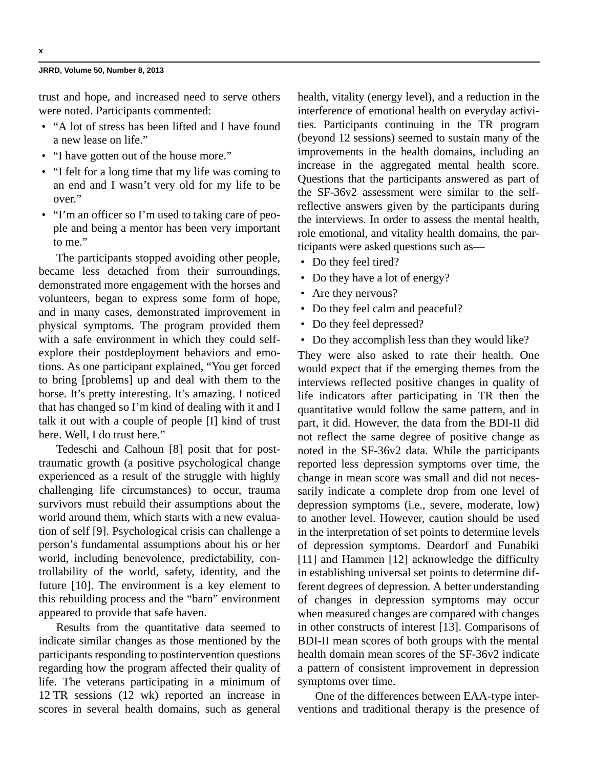trust and hope, and increased need to serve others were noted. Participants commented:

- "A lot of stress has been lifted and I have found a new lease on life."
- "I have gotten out of the house more."
- "I felt for a long time that my life was coming to an end and I wasn't very old for my life to be over."
- "I'm an officer so I'm used to taking care of people and being a mentor has been very important to me."

The participants stopped avoiding other people, became less detached from their surroundings, demonstrated more engagement with the horses and volunteers, began to express some form of hope, and in many cases, demonstrated improvement in physical symptoms. The program provided them with a safe environment in which they could selfexplore their postdeployment behaviors and emotions. As one participant explained, "You get forced to bring [problems] up and deal with them to the horse. It's pretty interesting. It's amazing. I noticed that has changed so I'm kind of dealing with it and I talk it out with a couple of people [I] kind of trust here. Well, I do trust here."

Tedeschi and Calhoun [8] posit that for posttraumatic growth (a positive psychological change experienced as a result of the struggle with highly challenging life circumstances) to occur, trauma survivors must rebuild their assumptions about the world around them, which starts with a new evaluation of self [9]. Psychological crisis can challenge a person's fundamental assumptions about his or her world, including benevolence, predictability, controllability of the world, safety, identity, and the future [10]. The environment is a key element to this rebuilding process and the "barn" environment appeared to provide that safe haven.

Results from the quantitative data seemed to indicate similar changes as those mentioned by the participants responding to postintervention questions regarding how the program affected their quality of life. The veterans participating in a minimum of 12 TR sessions (12 wk) reported an increase in scores in several health domains, such as general

health, vitality (energy level), and a reduction in the interference of emotional health on everyday activities. Participants continuing in the TR program (beyond 12 sessions) seemed to sustain many of the improvements in the health domains, including an increase in the aggregated mental health score. Questions that the participants answered as part of the SF-36v2 assessment were similar to the selfreflective answers given by the participants during the interviews. In order to assess the mental health, role emotional, and vitality health domains, the participants were asked questions such as—

- Do they feel tired?
- Do they have a lot of energy?
- Are they nervous?
- Do they feel calm and peaceful?
- Do they feel depressed?
- Do they accomplish less than they would like?

They were also asked to rate their health. One would expect that if the emerging themes from the interviews reflected positive changes in quality of life indicators after participating in TR then the quantitative would follow the same pattern, and in part, it did. However, the data from the BDI-II did not reflect the same degree of positive change as noted in the SF-36v2 data. While the participants reported less depression symptoms over time, the change in mean score was small and did not necessarily indicate a complete drop from one level of depression symptoms (i.e., severe, moderate, low) to another level. However, caution should be used in the interpretation of set points to determine levels of depression symptoms. Deardorf and Funabiki [11] and Hammen [12] acknowledge the difficulty in establishing universal set points to determine different degrees of depression. A better understanding of changes in depression symptoms may occur when measured changes are compared with changes in other constructs of interest [13]. Comparisons of BDI-II mean scores of both groups with the mental health domain mean scores of the SF-36v2 indicate a pattern of consistent improvement in depression symptoms over time.

One of the differences between EAA-type interventions and traditional therapy is the presence of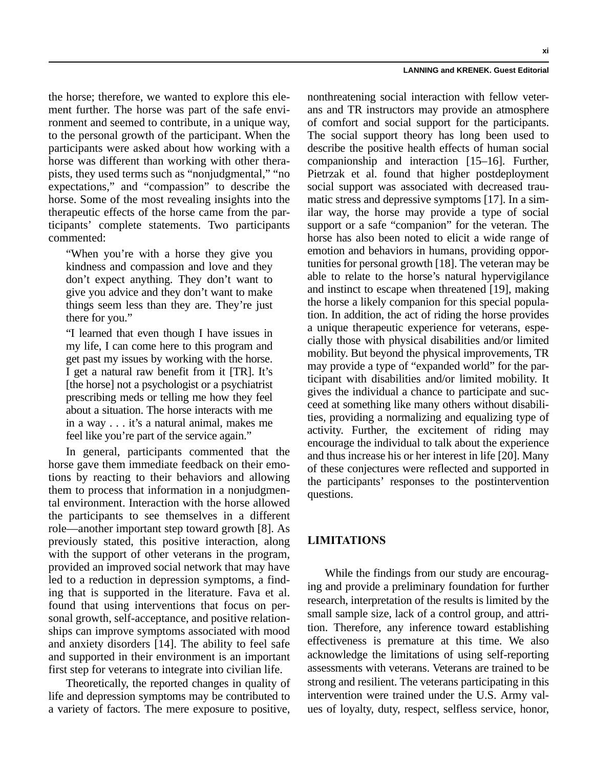#### **LANNING and KRENEK. Guest Editorial**

the horse; therefore, we wanted to explore this element further. The horse was part of the safe environment and seemed to contribute, in a unique way, to the personal growth of the participant. When the participants were asked about how working with a horse was different than working with other therapists, they used terms such as "nonjudgmental," "no expectations," and "compassion" to describe the horse. Some of the most revealing insights into the therapeutic effects of the horse came from the participants' complete statements. Two participants commented:

"When you're with a horse they give you kindness and compassion and love and they don't expect anything. They don't want to give you advice and they don't want to make things seem less than they are. They're just there for you."

"I learned that even though I have issues in my life, I can come here to this program and get past my issues by working with the horse. I get a natural raw benefit from it [TR]. It's [the horse] not a psychologist or a psychiatrist prescribing meds or telling me how they feel about a situation. The horse interacts with me in a way . . . it's a natural animal, makes me feel like you're part of the service again."

In general, participants commented that the horse gave them immediate feedback on their emotions by reacting to their behaviors and allowing them to process that information in a nonjudgmental environment. Interaction with the horse allowed the participants to see themselves in a different role—another important step toward growth [8]. As previously stated, this positive interaction, along with the support of other veterans in the program, provided an improved social network that may have led to a reduction in depression symptoms, a finding that is supported in the literature. Fava et al. found that using interventions that focus on personal growth, self-acceptance, and positive relationships can improve symptoms associated with mood and anxiety disorders [14]. The ability to feel safe and supported in their environment is an important first step for veterans to integrate into civilian life.

Theoretically, the reported changes in quality of life and depression symptoms may be contributed to a variety of factors. The mere exposure to positive, nonthreatening social interaction with fellow veterans and TR instructors may provide an atmosphere of comfort and social support for the participants. The social support theory has long been used to describe the positive health effects of human social companionship and interaction [15–16]. Further, Pietrzak et al. found that higher postdeployment social support was associated with decreased traumatic stress and depressive symptoms [17]. In a similar way, the horse may provide a type of social support or a safe "companion" for the veteran. The horse has also been noted to elicit a wide range of emotion and behaviors in humans, providing opportunities for personal growth [18]. The veteran may be able to relate to the horse's natural hypervigilance and instinct to escape when threatened [19], making the horse a likely companion for this special population. In addition, the act of riding the horse provides a unique therapeutic experience for veterans, especially those with physical disabilities and/or limited mobility. But beyond the physical improvements, TR may provide a type of "expanded world" for the participant with disabilities and/or limited mobility. It gives the individual a chance to participate and succeed at something like many others without disabilities, providing a normalizing and equalizing type of activity. Further, the excitement of riding may encourage the individual to talk about the experience and thus increase his or her interest in life [20]. Many of these conjectures were reflected and supported in the participants' responses to the postintervention questions.

## **LIMITATIONS**

While the findings from our study are encouraging and provide a preliminary foundation for further research, interpretation of the results is limited by the small sample size, lack of a control group, and attrition. Therefore, any inference toward establishing effectiveness is premature at this time. We also acknowledge the limitations of using self-reporting assessments with veterans. Veterans are trained to be strong and resilient. The veterans participating in this intervention were trained under the U.S. Army values of loyalty, duty, respect, selfless service, honor,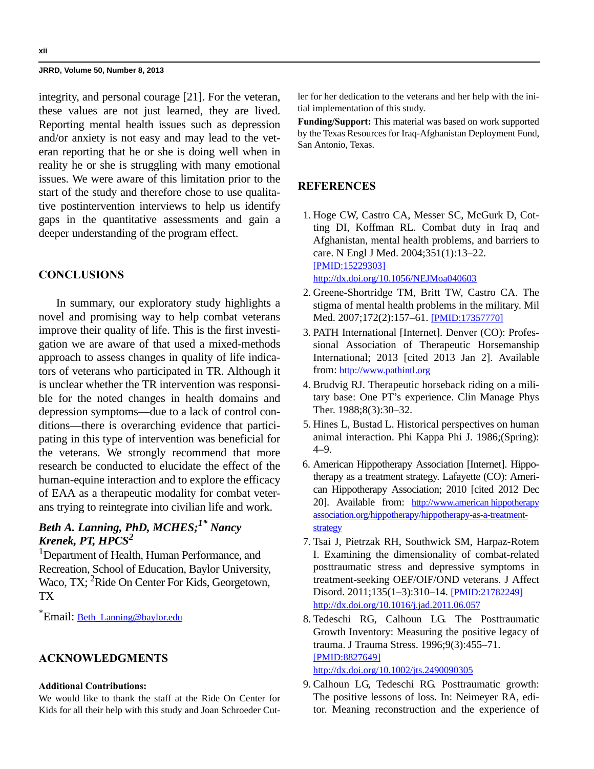**JRRD, Volume 50, Number 8, 2013**

integrity, and personal courage [21]. For the veteran, these values are not just learned, they are lived. Reporting mental health issues such as depression and/or anxiety is not easy and may lead to the veteran reporting that he or she is doing well when in reality he or she is struggling with many emotional issues. We were aware of this limitation prior to the start of the study and therefore chose to use qualitative postintervention interviews to help us identify gaps in the quantitative assessments and gain a deeper understanding of the program effect.

## **CONCLUSIONS**

In summary, our exploratory study highlights a novel and promising way to help combat veterans improve their quality of life. This is the first investigation we are aware of that used a mixed-methods approach to assess changes in quality of life indicators of veterans who participated in TR. Although it is unclear whether the TR intervention was responsible for the noted changes in health domains and depression symptoms—due to a lack of control conditions—there is overarching evidence that participating in this type of intervention was beneficial for the veterans. We strongly recommend that more research be conducted to elucidate the effect of the human-equine interaction and to explore the efficacy of EAA as a therapeutic modality for combat veterans trying to reintegrate into civilian life and work.

## *Beth A. Lanning, PhD, MCHES;1\* Nancy Krenek, PT, HPCS<sup>2</sup>*

<sup>1</sup>Department of Health, Human Performance, and Recreation, School of Education, Baylor University, Waco, TX; 2 Ride On Center For Kids, Georgetown, TX

\*Email: Beth\_Lanning@baylor.edu

## **ACKNOWLEDGMENTS**

## **Additional Contributions:**

We would like to thank the staff at the Ride On Center for Kids for all their help with this study and Joan Schroeder Cutler for her dedication to the veterans and her help with the initial implementation of this study.

**Funding/Support:** This material was based on work supported by the Texas Resources for Iraq-Afghanistan Deployment Fund, San Antonio, Texas.

## **REFERENCES**

- 1. Hoge CW, Castro CA, Messer SC, McGurk D, Cotting DI, Koffman RL. Combat duty in Iraq and Afghanistan, mental health problems, and barriers to care. N Engl J Med. 2004;351(1):13–22. [\[PMID:15229303\]](http://www.ncbi.nlm.nih.gov/entrez/query.fcgi?cmd=Retrieve&db=PubMed&list_uids=15229303&dopt=Abstract) [h](http://www.ncbi.nlm.nih.gov/entrez/query.fcgi?cmd=Retrieve&db=PubMed&list_uids=15229303&dopt=Abstract)[ttp://dx.doi.org/10.1056/NEJMoa040603](http://dx.doi.org/10.1056/NEJMoa040603)
- 2. Greene-Shortridge TM, Britt TW, Castro CA. The stigma of mental health problems in the military. Mil Med. 2007;172(2):157–61. [\[PMID:17357770\]](http://www.ncbi.nlm.nih.gov/entrez/query.fcgi?cmd=Retrieve&db=PubMed&list_uids=17357770&dopt=Abstract)
- 3. PATH International [Internet]. Denver (CO): Professional Association of Therapeutic Horsemanship International; 2013 [cited 2013 Jan 2]. Available from: [http://www.pathintl.org](http://www.pathintl.org/)
- 4. Brudvig RJ. Therapeutic horseback riding on a military base: One PT's experience. Clin Manage Phys Ther. 1988;8(3):30–32.
- 5. Hines L, Bustad L. Historical perspectives on human animal interaction. Phi Kappa Phi J. 1986;(Spring): 4–9.
- 6. American Hippotherapy Association [Internet]. Hippotherapy as a treatment strategy. Lafayette (CO): American Hippotherapy Association; 2010 [cited 2012 Dec 20]. Available from: [http://www.american](http://www.americanhippotherapyassociation.org/hippotherapy/hippotherapy-as-a-treatment-strategy) hippotherapy [association.org/hippotherapy/hippotherapy-as-a-treatment](http://www.americanhippotherapyassociation.org/hippotherapy/hippotherapy-as-a-treatment-strategy)[strategy](http://www.americanhippotherapyassociation.org/hippotherapy/hippotherapy-as-a-treatment-strategy)
- 7. Tsai J, Pietrzak RH, Southwick SM, Harpaz-Rotem I. Examining the dimensionality of combat-related posttraumatic stress and depressive symptoms in treatment-seeking OEF/OIF/OND veterans. J Affect Disord. 2011;135(1–3):310–14. [\[PMID:21782249\]](http://www.ncbi.nlm.nih.gov/entrez/query.fcgi?cmd=Retrieve&db=PubMed&list_uids=21782249&dopt=Abstract) [h](http://www.ncbi.nlm.nih.gov/entrez/query.fcgi?cmd=Retrieve&db=PubMed&list_uids=21782249&dopt=Abstract)[ttp://dx.doi.org/10.1016/j.jad.2011.06.057](http://dx.doi.org/10.1016/j.jad.2011.06.057)
- 8. Tedeschi RG, Calhoun LG. The Posttraumatic Growth Inventory: Measuring the positive legacy of trauma. J Trauma Stress. 1996;9(3):455–71. [\[PMID:8827649\]](http://www.ncbi.nlm.nih.gov/entrez/query.fcgi?cmd=Retrieve&db=PubMed&list_uids=8827649&dopt=Abstract) [h](http://www.ncbi.nlm.nih.gov/entrez/query.fcgi?cmd=Retrieve&db=PubMed&list_uids=8827649&dopt=Abstract)[ttp://dx.doi.org/10.1002/jts.2490090305](http://dx.doi.org/10.1002/jts.2490090305)
- 9. Calhoun LG, Tedeschi RG. Posttraumatic growth: The positive lessons of loss. In: Neimeyer RA, editor. Meaning reconstruction and the experience of